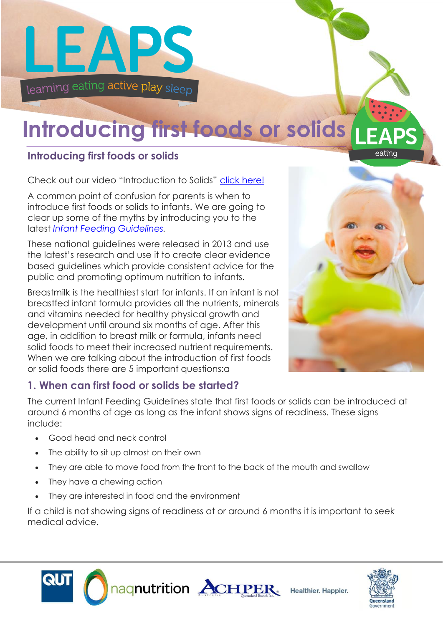

## **Introducing first foods or solids**

### **Introducing first foods or solids**

Check out our video "Introduction to Solids" [click here!](https://www.youtube.com/watch?v=7b-XibTmQBY&feature=youtu.be)

A common point of confusion for parents is when to introduce first foods or solids to infants. We are going to clear up some of the myths by introducing you to the latest *[Infant Feeding Guidelines.](http://www.eatforhealth.gov.au/sites/default/files/files/the_guidelines/n56_infant_feeding_guidelines.pdf)*

These national guidelines were released in 2013 and use the latest's research and use it to create clear evidence based guidelines which provide consistent advice for the public and promoting optimum nutrition to infants.

Breastmilk is the healthiest start for infants. If an infant is not breastfed infant formula provides all the nutrients, minerals and vitamins needed for healthy physical growth and development until around six months of age. After this age, in addition to breast milk or formula, infants need solid foods to meet their increased nutrient requirements. When we are talking about the introduction of first foods or solid foods there are 5 important questions:a



eating

#### **1. When can first food or solids be started?**

The current Infant Feeding Guidelines state that first foods or solids can be introduced at around 6 months of age as long as the infant shows signs of readiness. These signs include:

- Good head and neck control
- The ability to sit up almost on their own
- They are able to move food from the front to the back of the mouth and swallow
- They have a chewing action
- They are interested in food and the environment

If a child is not showing signs of readiness at or around 6 months it is important to seek medical advice.





Healthier, Happier.

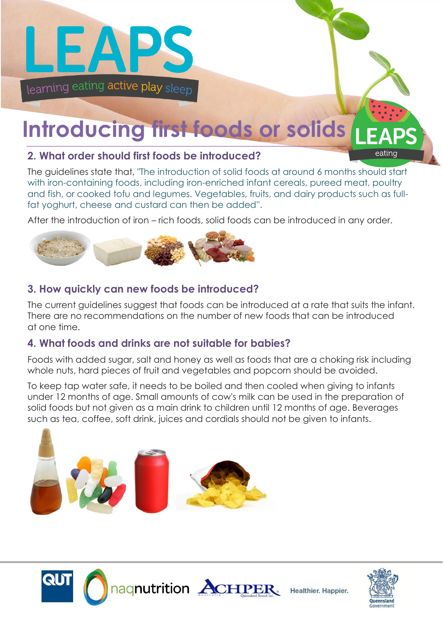

# **Introducing first foods or solids**

### **2. What order should first foods be introduced?**

The guidelines state that, "The introduction of solid foods at around 6 months should start with iron-containing foods, including iron-enriched infant cereals, pureed meat, poultry and fish, or cooked tofu and legumes. Vegetables, fruits, and dairy products such as fullfat yoghurt, cheese and custard can then be added''.

After the introduction of iron – rich foods, solid foods can be introduced in any order.



### **3. How quickly can new foods be introduced?**

The current guidelines suggest that foods can be introduced at a rate that suits the infant. There are no recommendations on the number of new foods that can be introduced at one time.

#### **4. What foods and drinks are not suitable for babies?**

Foods with added sugar, salt and honey as well as foods that are a choking risk including whole nuts, hard pieces of fruit and vegetables and popcorn should be avoided.

To keep tap water safe, it needs to be boiled and then cooled when giving to infants under 12 months of age. Small amounts of cow's milk can be used in the preparation of solid foods but not given as a main drink to children until 12 months of age. Beverages such as tea, coffee, soft drink, juices and cordials should not be given to infants.







Healthier. Happier.

eating